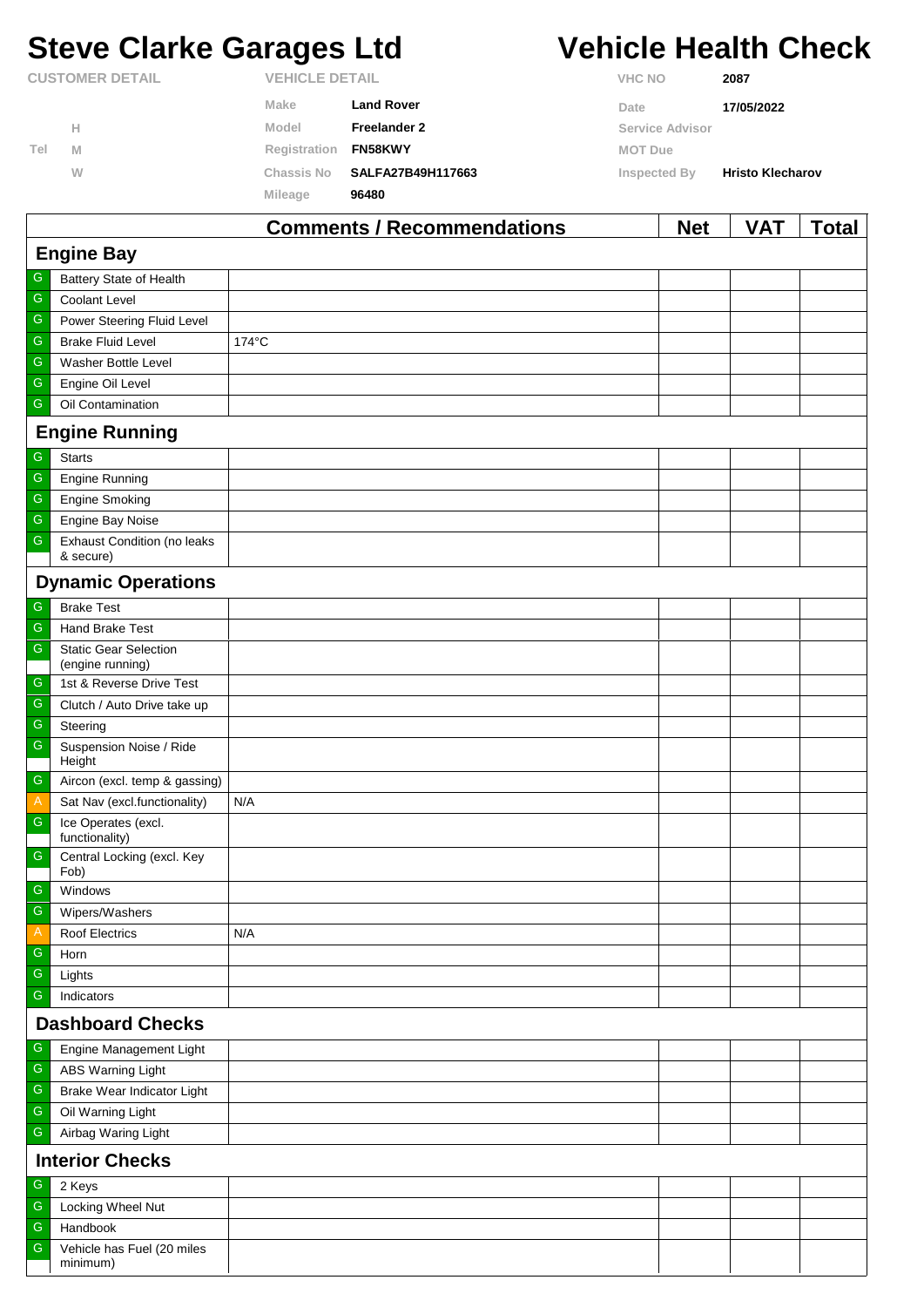# **Steve Clarke Garages Ltd Vehicle Health Check**

|     |                        |                       | Commonte I Desempregations | <b>N</b> L-4           | $\mathbf{V}$            | <b>TAL-1</b> |
|-----|------------------------|-----------------------|----------------------------|------------------------|-------------------------|--------------|
|     |                        | Mileage               | 96480                      |                        |                         |              |
|     | W                      | Chassis No            | SALFA27B49H117663          | Inspected By           | <b>Hristo Klecharov</b> |              |
| Tel | M                      | Registration          | <b>FN58KWY</b>             | <b>MOT Due</b>         |                         |              |
|     | н                      | Model                 | Freelander 2               | <b>Service Advisor</b> |                         |              |
|     |                        | Make                  | <b>Land Rover</b>          | Date                   | 17/05/2022              |              |
|     | <b>CUSTOMER DETAIL</b> | <b>VEHICLE DETAIL</b> |                            | <b>VHC NO</b>          | 2087                    |              |

|                         | <b>Comments / Recommendations</b><br><b>Net</b><br>VAT<br><u>Total</u> |       |  |  |  |  |
|-------------------------|------------------------------------------------------------------------|-------|--|--|--|--|
|                         | <b>Engine Bay</b>                                                      |       |  |  |  |  |
| G                       | Battery State of Health                                                |       |  |  |  |  |
| G                       | Coolant Level                                                          |       |  |  |  |  |
| $\mathsf G$             | Power Steering Fluid Level                                             |       |  |  |  |  |
| ${\mathbb G}$           | <b>Brake Fluid Level</b>                                               | 174°C |  |  |  |  |
| ${\mathsf G}$           | Washer Bottle Level                                                    |       |  |  |  |  |
| G                       | Engine Oil Level                                                       |       |  |  |  |  |
| G                       | Oil Contamination                                                      |       |  |  |  |  |
|                         | <b>Engine Running</b>                                                  |       |  |  |  |  |
| G                       | <b>Starts</b>                                                          |       |  |  |  |  |
| ${\mathsf G}$           | <b>Engine Running</b>                                                  |       |  |  |  |  |
| ${\mathsf G}$           | <b>Engine Smoking</b>                                                  |       |  |  |  |  |
| $\mathsf G$             | Engine Bay Noise                                                       |       |  |  |  |  |
| G                       | Exhaust Condition (no leaks<br>& secure)                               |       |  |  |  |  |
|                         | <b>Dynamic Operations</b>                                              |       |  |  |  |  |
| ${\mathsf G}$           | <b>Brake Test</b>                                                      |       |  |  |  |  |
| G                       | Hand Brake Test                                                        |       |  |  |  |  |
| ${\mathsf G}$           | <b>Static Gear Selection</b><br>(engine running)                       |       |  |  |  |  |
| ${\mathsf G}$           | 1st & Reverse Drive Test                                               |       |  |  |  |  |
| G                       | Clutch / Auto Drive take up                                            |       |  |  |  |  |
| $\mathsf G$             | Steering                                                               |       |  |  |  |  |
| $\mathsf G$             | Suspension Noise / Ride<br>Height                                      |       |  |  |  |  |
| $\mathsf G$             | Aircon (excl. temp & gassing)                                          |       |  |  |  |  |
| $\mathsf{A}$            | Sat Nav (excl.functionality)                                           | N/A   |  |  |  |  |
| $\mathsf G$             | Ice Operates (excl.<br>functionality)                                  |       |  |  |  |  |
| ${\mathsf G}$           | Central Locking (excl. Key<br>Fob)                                     |       |  |  |  |  |
| ${\mathsf G}$           | Windows                                                                |       |  |  |  |  |
| G                       | Wipers/Washers                                                         |       |  |  |  |  |
| A                       | Roof Electrics                                                         | N/A   |  |  |  |  |
| ${\mathsf G}$           | Horn                                                                   |       |  |  |  |  |
| G                       | Lights                                                                 |       |  |  |  |  |
| G                       | Indicators                                                             |       |  |  |  |  |
| <b>Dashboard Checks</b> |                                                                        |       |  |  |  |  |
| G                       | Engine Management Light                                                |       |  |  |  |  |
| ${\mathbb G}$           | ABS Warning Light                                                      |       |  |  |  |  |
| G                       | Brake Wear Indicator Light                                             |       |  |  |  |  |
| ${\mathsf G}$           | Oil Warning Light                                                      |       |  |  |  |  |
| G                       | Airbag Waring Light                                                    |       |  |  |  |  |
|                         | <b>Interior Checks</b>                                                 |       |  |  |  |  |
| ${\mathsf G}$           | 2 Keys                                                                 |       |  |  |  |  |
| G                       | Locking Wheel Nut                                                      |       |  |  |  |  |
| ${\mathsf G}$           | Handbook                                                               |       |  |  |  |  |
| G                       | Vehicle has Fuel (20 miles<br>minimum)                                 |       |  |  |  |  |